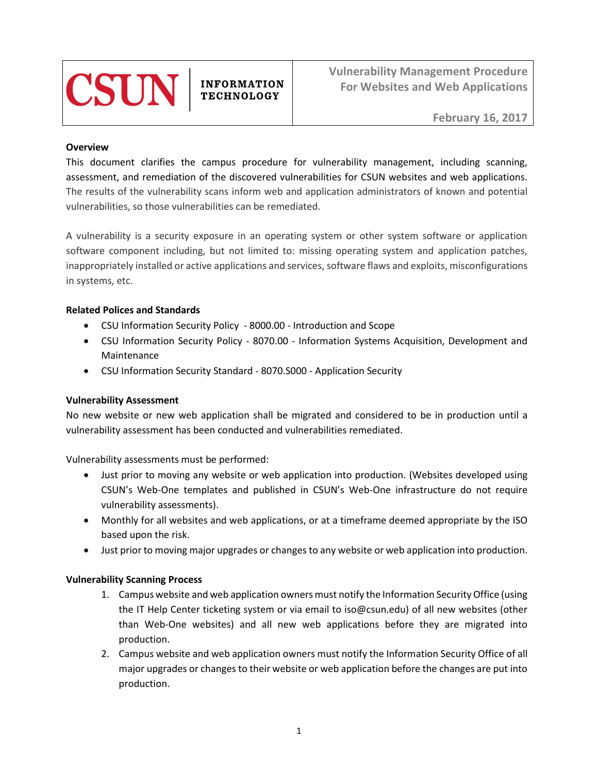

**INFORMATION TECHNOLOGY** 

**Vulnerability Management Procedure For Websites and Web Applications** 

### **Overview**

This document clarifies the campus procedure for vulnerability management, including scanning, assessment, and remediation of the discovered vulnerabilities for CSUN websites and web applications. The results of the vulnerability scans inform web and application administrators of known and potential vulnerabilities, so those vulnerabilities can be remediated.

A vulnerability is a security exposure in an operating system or other system software or application software component including, but not limited to: missing operating system and application patches, inappropriately installed or active applications and services, software flaws and exploits, misconfigurations in systems, etc.

## **Related Polices and Standards**

- CSU Information Security Policy 8000.00 Introduction and Scope
- CSU Information Security Policy 8070.00 Information Systems Acquisition, Development and Maintenance
- CSU Information Security Standard 8070.S000 Application Security

## **Vulnerability Assessment**

No new website or new web application shall be migrated and considered to be in production until a vulnerability assessment has been conducted and vulnerabilities remediated.

Vulnerability assessments must be performed:

- Just prior to moving any website or web application into production. (Websites developed using CSUN's Web-One templates and published in CSUN's Web-One infrastructure do not require vulnerability assessments).
- Monthly for all websites and web applications, or at a timeframe deemed appropriate by the ISO based upon the risk.
- Just prior to moving major upgrades or changes to any website or web application into production.

## **Vulnerability Scanning Process**

- 1. Campus website and web application owners must notify the Information Security Office (using the IT Help Center ticketing system or via email to iso@csun.edu) of all new websites (other than Web-One websites) and all new web applications before they are migrated into production.
- 2. Campus website and web application owners must notify the Information Security Office of all major upgrades or changes to their website or web application before the changes are put into production.